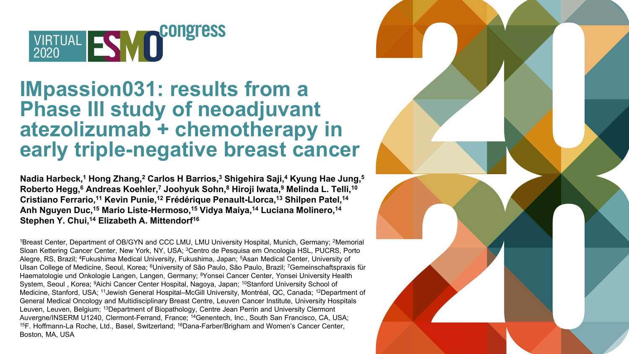

#### **IMpassion031: results from a Phase III study of neoadjuvant atezolizumab + chemotherapy in early triple-negative breast cancer**

**Nadia Harbeck,1 Hong Zhang,2 Carlos H Barrios,3 Shigehira Saji,4 Kyung Hae Jung,5 Roberto Hegg,6 Andreas Koehler,7 Joohyuk Sohn,8 Hiroji Iwata,9 Melinda L. Telli,10 Cristiano Ferrario,11 Kevin Punie,12 Frédérique Penault-Llorca,13 Shilpen Patel,14 Anh Nguyen Duc,15 Mario Liste-Hermoso,15 Vidya Maiya,14 Luciana Molinero,14** Stephen Y. Chui,<sup>14</sup> Elizabeth A. Mittendorf<sup>16</sup>

1Breast Center, Department of OB/GYN and CCC LMU, LMU University Hospital, Munich, Germany; <sup>2</sup>Memorial Sloan Kettering Cancer Center, New York, NY, USA; 3Centro de Pesquisa em Oncologia HSL, PUCRS, Porto Alegre, RS, Brazil; 4Fukushima Medical University, Fukushima, Japan; 5Asan Medical Center, University of Ulsan College of Medicine, Seoul, Korea; 6University of São Paulo, São Paulo, Brazil; 7Gemeinschaftspraxis für Haematologie und Onkologie Langen, Langen, Germany; 8Yonsei Cancer Center, Yonsei University Health System, Seoul , Korea; <sup>9</sup>Aichi Cancer Center Hospital, Nagoya, Japan; <sup>10</sup>Stanford University School of Medicine, Stanford, USA; 11Jewish General Hospital–McGill University, Montréal, QC, Canada; 12Department of General Medical Oncology and Multidisciplinary Breast Centre, Leuven Cancer Institute, University Hospitals Leuven, Leuven, Belgium; 13Department of Biopathology, Centre Jean Perrin and University Clermont Auvergne/INSERM U1240, Clermont-Ferrand, France; <sup>14</sup>Genentech, Inc., South San Francisco, CA, USA; 15F. Hoffmann-La Roche, Ltd., Basel, Switzerland; <sup>16</sup>Dana-Farber/Brigham and Women's Cancer Center, Boston, MA, USA

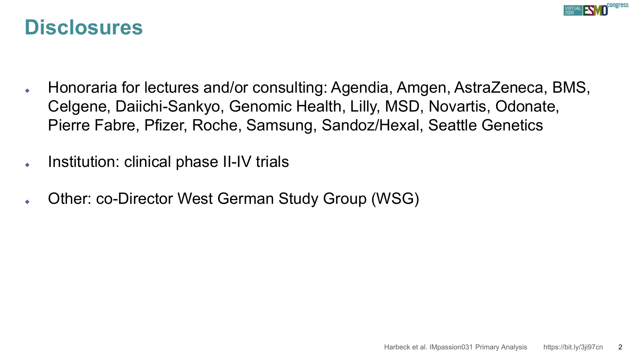

#### **Disclosures**

- Honoraria for lectures and/or consulting: Agendia, Amgen, AstraZeneca, BMS, Celgene, Daiichi-Sankyo, Genomic Health, Lilly, MSD, Novartis, Odonate, Pierre Fabre, Pfizer, Roche, Samsung, Sandoz/Hexal, Seattle Genetics
- Institution: clinical phase II-IV trials
- Other: co-Director West German Study Group (WSG)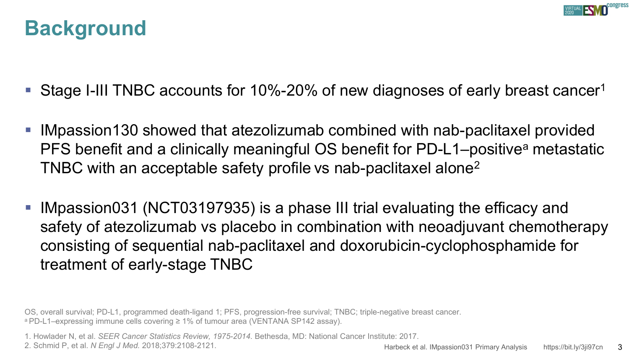

### **Background**

- Stage I-III TNBC accounts for 10%-20% of new diagnoses of early breast cancer<sup>1</sup>
- IMpassion130 showed that atezolizumab combined with nab-paclitaxel provided PFS benefit and a clinically meaningful OS benefit for PD-L1–positive<sup>a</sup> metastatic TNBC with an acceptable safety profile vs nab-paclitaxel alone2
- IMpassion031 (NCT03197935) is a phase III trial evaluating the efficacy and safety of atezolizumab vs placebo in combination with neoadjuvant chemotherapy consisting of sequential nab-paclitaxel and doxorubicin-cyclophosphamide for treatment of early-stage TNBC

OS, overall survival; PD-L1, programmed death-ligand 1; PFS, progression-free survival; TNBC; triple-negative breast cancer. a PD-L1–expressing immune cells covering ≥ 1% of tumour area (VENTANA SP142 assay).

1. Howlader N, et al. *SEER Cancer Statistics Review, 1975-2014*. Bethesda, MD: National Cancer Institute: 2017.

2. Schmid P, et al. *N Engl J Med.* 2018;379:2108-2121.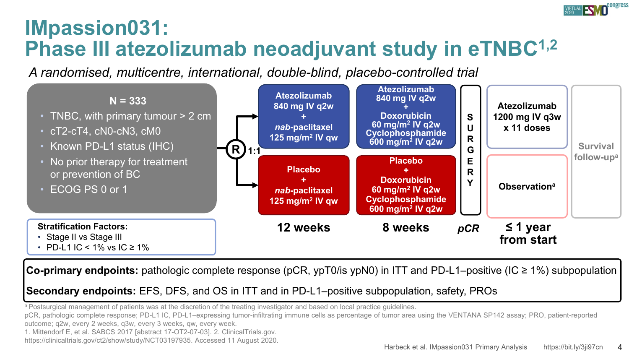

### **IMpassion031: Phase III atezolizumab neoadjuvant study in eTNBC1,2**

*A randomised, multicentre, international, double-blind, placebo-controlled trial*



**Co-primary endpoints:** pathologic complete response (pCR, ypT0/is ypN0) in ITT and PD-L1–positive (IC ≥ 1%) subpopulation

**Secondary endpoints:** EFS, DFS, and OS in ITT and in PD-L1–positive subpopulation, safety, PROs

a Postsurgical management of patients was at the discretion of the treating investigator and based on local practice guidelines.

pCR, pathologic complete response; PD-L1 IC, PD-L1–expressing tumor-infiltrating immune cells as percentage of tumor area using the VENTANA SP142 assay; PRO, patient-reported

outcome; q2w, every 2 weeks, q3w, every 3 weeks, qw, every week.

1. Mittendorf E, et al. SABCS 2017 [abstract 17-OT2-07-03]. 2. ClinicalTrials.gov.

https://clinicaltrials.gov/ct2/show/study/NCT03197935. Accessed 11 August 2020.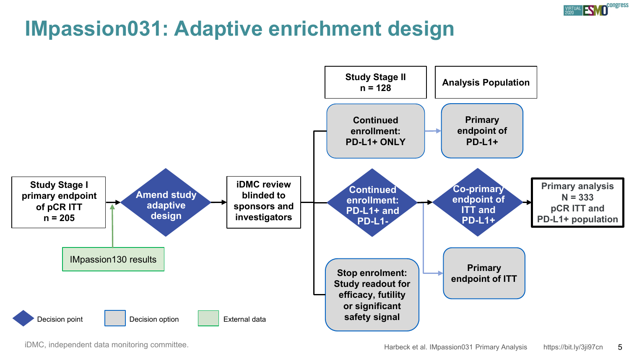

# **IMpassion031: Adaptive enrichment design**

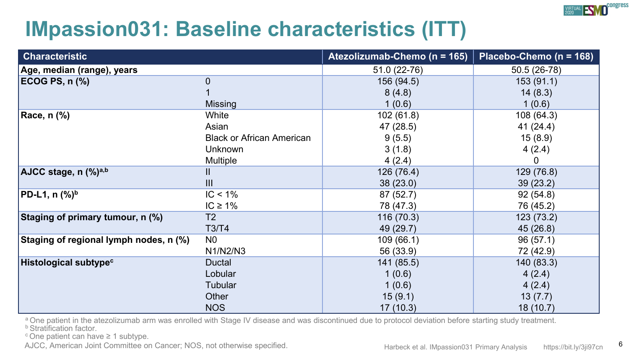

# **IMpassion031: Baseline characteristics (ITT)**

| <b>Characteristic</b>                  |                                  | Atezolizumab-Chemo (n = 165) | Placebo-Chemo (n = 168) |
|----------------------------------------|----------------------------------|------------------------------|-------------------------|
| Age, median (range), years             |                                  | 51.0 (22-76)                 | 50.5 (26-78)            |
| <b>ECOG PS, n (%)</b>                  | $\overline{0}$                   | 156 (94.5)                   | 153(91.1)               |
|                                        |                                  | 8(4.8)                       | 14(8.3)                 |
|                                        | Missing                          | 1(0.6)                       | 1(0.6)                  |
| Race, n (%)                            | White                            | 102 (61.8)                   | 108 (64.3)              |
|                                        | Asian                            | 47 (28.5)                    | 41(24.4)                |
|                                        | <b>Black or African American</b> | 9(5.5)                       | 15(8.9)                 |
|                                        | <b>Unknown</b>                   | 3(1.8)                       | 4(2.4)                  |
|                                        | Multiple                         | 4(2.4)                       | 0                       |
| AJCC stage, n (%)a,b                   | Ш                                | 126 (76.4)                   | 129 (76.8)              |
|                                        | III                              | 38(23.0)                     | 39(23.2)                |
| PD-L1, n (%) <sup>b</sup>              | $IC < 1\%$                       | 87 (52.7)                    | 92(54.8)                |
|                                        | IC $\geq 1\%$                    | 78 (47.3)                    | 76 (45.2)               |
| Staging of primary tumour, n (%)       | T <sub>2</sub>                   | 116 (70.3)                   | 123 (73.2)              |
|                                        | T3/T4                            | 49 (29.7)                    | 45 (26.8)               |
| Staging of regional lymph nodes, n (%) | N <sub>0</sub>                   | 109(66.1)                    | 96(57.1)                |
|                                        | N1/N2/N3                         | 56 (33.9)                    | 72 (42.9)               |
| Histological subtype <sup>c</sup>      | Ductal                           | 141 (85.5)                   | 140 (83.3)              |
|                                        | Lobular                          | 1(0.6)                       | 4(2.4)                  |
|                                        | <b>Tubular</b>                   | 1(0.6)                       | 4(2.4)                  |
|                                        | Other                            | 15(9.1)                      | 13(7.7)                 |
|                                        | <b>NOS</b>                       | 17(10.3)                     | 18(10.7)                |

a One patient in the atezolizumab arm was enrolled with Stage IV disease and was discontinued due to protocol deviation before starting study treatment.<br>**b** Stratification factor.

c One patient can have ≥ 1 subtype.

AJCC, American Joint Committee on Cancer; NOS, not otherwise specified. Here here harded a Harbeck et al. IMpassion031 Primary Analysis https://bit.ly/3ii97cn 6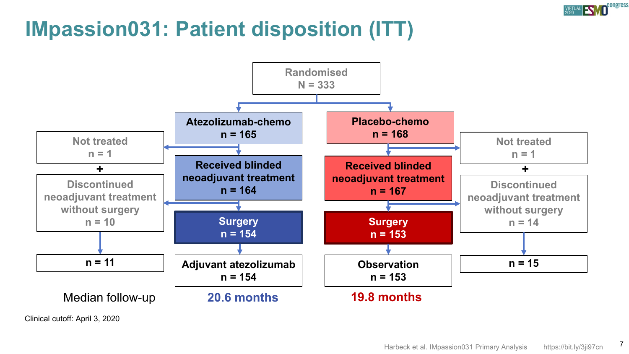

# **IMpassion031: Patient disposition (ITT)**



Clinical cutoff: April 3, 2020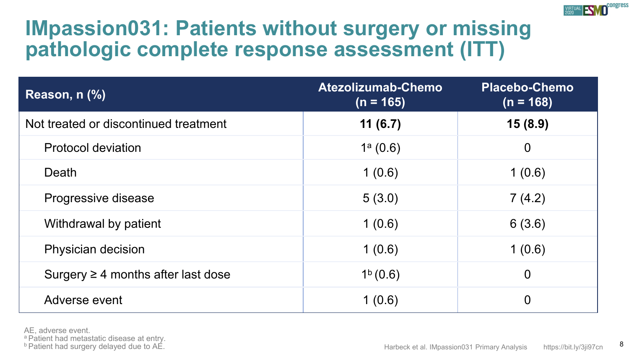

# **IMpassion031: Patients without surgery or missing pathologic complete response assessment (ITT)**

| Reason, n (%)                           | Atezolizumab-Chemo<br>$(n = 165)$ | <b>Placebo-Chemo</b><br>$(n = 168)$ |
|-----------------------------------------|-----------------------------------|-------------------------------------|
| Not treated or discontinued treatment   | 11(6.7)                           | 15(8.9)                             |
| <b>Protocol deviation</b>               | $1^a(0.6)$                        | $\mathbf 0$                         |
| Death                                   | 1(0.6)                            | 1(0.6)                              |
| Progressive disease                     | 5(3.0)                            | 7(4.2)                              |
| Withdrawal by patient                   | 1(0.6)                            | 6(3.6)                              |
| Physician decision                      | 1(0.6)                            | 1(0.6)                              |
| Surgery $\geq$ 4 months after last dose | 1 <sup>b</sup> (0.6)              | $\overline{0}$                      |
| Adverse event                           | 1(0.6)                            | 0                                   |

AE, adverse event.

a Patient had metastatic disease at entry.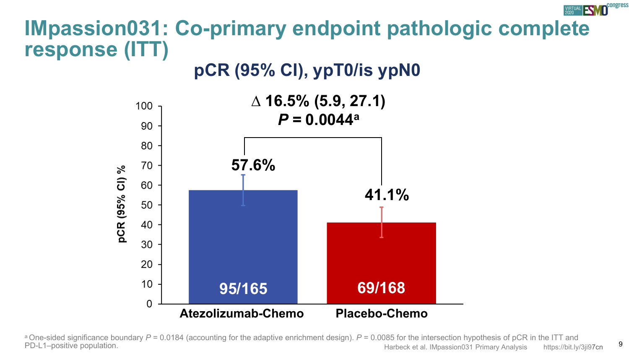# **IMpassion031: Co-primary endpoint pathologic complete response (ITT)**

#### **pCR (95% CI), ypT0/is ypN0**



Harbeck et al. IMpassion031 Primary Analysis https://bit.ly/3ji97cn 9 <sup>a</sup> One-sided significance boundary *P* = 0.0184 (accounting for the adaptive enrichment design). *P* = 0.0085 for the intersection hypothesis of pCR in the ITT and PD-L1–positive population.

congress

**VIRTUAL SVO**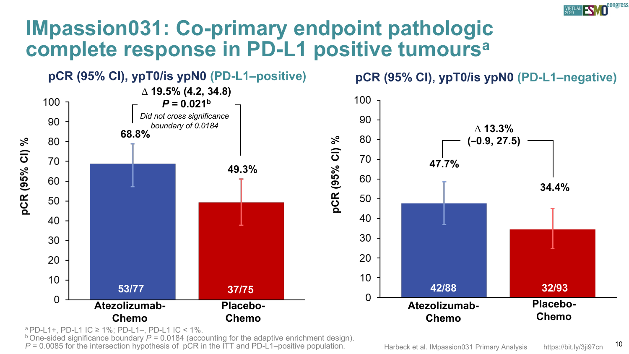# **IMpassion031: Co-primary endpoint pathologic complete response in PD-L1 positive tumoursa**



ª PD-L1+, PD-L1 IC ≥ 1%; PD-L1–, PD-L1 IC < 1%.<br><sup>b</sup> One-sided significance boundary *P* = 0.0184 (accounting for the adaptive enrichment design). P = 0.0085 for the intersection hypothesis of pCR in the ITT and PD-L1–positive population. The Harbeck et al. IMpassion031 Primary Analysis https://bit.ly/3ji97cn 10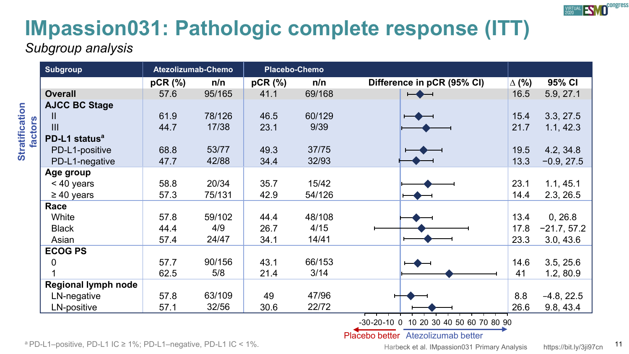

# **IMpassion031: Pathologic complete response (ITT)**

*Subgroup analysis*

|                           |                                                                                          |                                                                                      | Atezolizumab-Chemo<br>Placebo-Chemo                                                                                |                                                                                    |                                                                                                                    |              |                                                                                           |
|---------------------------|------------------------------------------------------------------------------------------|--------------------------------------------------------------------------------------|--------------------------------------------------------------------------------------------------------------------|------------------------------------------------------------------------------------|--------------------------------------------------------------------------------------------------------------------|--------------|-------------------------------------------------------------------------------------------|
|                           | pCR (%)                                                                                  | n/n                                                                                  | pCR (%)                                                                                                            | n/n                                                                                | Difference in pCR (95% CI)                                                                                         | $\Delta$ (%) | 95% CI                                                                                    |
| <b>Overall</b>            | 57.6                                                                                     | 95/165                                                                               | 41.1                                                                                                               | 69/168                                                                             | $\overline{\phantom{a}}$                                                                                           | 16.5         | 5.9, 27.1                                                                                 |
| <b>AJCC BC Stage</b>      |                                                                                          |                                                                                      |                                                                                                                    |                                                                                    |                                                                                                                    |              |                                                                                           |
| Ш                         | 61.9                                                                                     |                                                                                      | 46.5                                                                                                               |                                                                                    |                                                                                                                    | 15.4         | 3.3, 27.5                                                                                 |
| $\mathbf{III}$            |                                                                                          |                                                                                      | 23.1                                                                                                               |                                                                                    |                                                                                                                    |              | 1.1, 42.3                                                                                 |
| PD-L1 status <sup>a</sup> |                                                                                          |                                                                                      |                                                                                                                    |                                                                                    |                                                                                                                    |              |                                                                                           |
| PD-L1-positive            | 68.8                                                                                     |                                                                                      |                                                                                                                    |                                                                                    |                                                                                                                    |              | 4.2, 34.8                                                                                 |
| PD-L1-negative            |                                                                                          |                                                                                      |                                                                                                                    |                                                                                    |                                                                                                                    |              | $-0.9, 27.5$                                                                              |
| Age group                 |                                                                                          |                                                                                      |                                                                                                                    |                                                                                    |                                                                                                                    |              |                                                                                           |
|                           |                                                                                          |                                                                                      |                                                                                                                    |                                                                                    |                                                                                                                    |              | 1.1, 45.1                                                                                 |
| $\geq 40$ years           |                                                                                          |                                                                                      |                                                                                                                    |                                                                                    |                                                                                                                    |              | 2.3, 26.5                                                                                 |
| Race                      |                                                                                          |                                                                                      |                                                                                                                    |                                                                                    |                                                                                                                    |              |                                                                                           |
| White                     |                                                                                          |                                                                                      |                                                                                                                    |                                                                                    |                                                                                                                    |              | 0, 26.8                                                                                   |
| <b>Black</b>              |                                                                                          |                                                                                      |                                                                                                                    |                                                                                    |                                                                                                                    |              | $-21.7, 57.2$                                                                             |
| Asian                     |                                                                                          |                                                                                      |                                                                                                                    |                                                                                    |                                                                                                                    |              | 3.0, 43.6                                                                                 |
|                           |                                                                                          |                                                                                      |                                                                                                                    |                                                                                    |                                                                                                                    |              |                                                                                           |
|                           |                                                                                          |                                                                                      |                                                                                                                    |                                                                                    |                                                                                                                    |              | 3.5, 25.6                                                                                 |
|                           |                                                                                          |                                                                                      |                                                                                                                    |                                                                                    |                                                                                                                    |              | 1.2, 80.9                                                                                 |
|                           |                                                                                          |                                                                                      |                                                                                                                    |                                                                                    |                                                                                                                    |              |                                                                                           |
|                           |                                                                                          |                                                                                      |                                                                                                                    |                                                                                    |                                                                                                                    |              | $-4.8, 22.5$                                                                              |
|                           |                                                                                          |                                                                                      |                                                                                                                    |                                                                                    |                                                                                                                    |              | 9.8, 43.4                                                                                 |
| 0                         | < 40 years<br><b>ECOG PS</b><br><b>Regional lymph node</b><br>LN-negative<br>LN-positive | 44.7<br>47.7<br>58.8<br>57.3<br>57.8<br>44.4<br>57.4<br>57.7<br>62.5<br>57.8<br>57.1 | 78/126<br>17/38<br>53/77<br>42/88<br>20/34<br>75/131<br>59/102<br>4/9<br>24/47<br>90/156<br>5/8<br>63/109<br>32/56 | 49.3<br>34.4<br>35.7<br>42.9<br>44.4<br>26.7<br>34.1<br>43.1<br>21.4<br>49<br>30.6 | 60/129<br>9/39<br>37/75<br>32/93<br>15/42<br>54/126<br>48/108<br>4/15<br>14/41<br>66/153<br>3/14<br>47/96<br>22/72 |              | 21.7<br>19.5<br>13.3<br>23.1<br>14.4<br>13.4<br>17.8<br>23.3<br>14.6<br>41<br>8.8<br>26.6 |

-30-20-10 0 10 20 30 40 50 60 70 80 90

Placebo better Atezolizumab better

a PD-L1–positive, PD-L1 IC ≥ 1%; PD-L1–negative, PD-L1 IC < 1%.

Harbeck et al. IMpassion031 Primary Analysis https://bit.ly/3ji97cn 11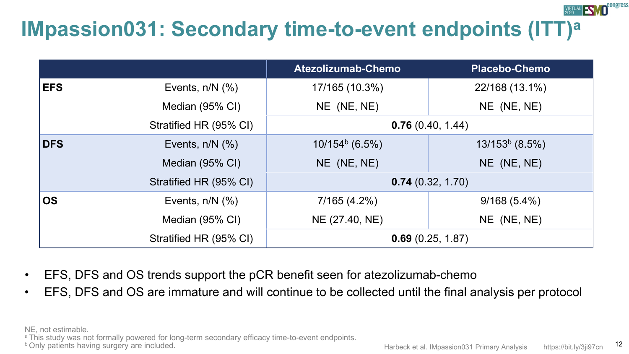# **IMpassion031: Secondary time-to-event endpoints (ITT)a**

|            |                        | Atezolizumab-Chemo | <b>Placebo-Chemo</b> |  |
|------------|------------------------|--------------------|----------------------|--|
| <b>EFS</b> | Events, $n/N$ $(\%)$   | 17/165 (10.3%)     | 22/168 (13.1%)       |  |
|            | Median (95% CI)        | NE (NE, NE)        | $NE$ (NE, NE)        |  |
|            | Stratified HR (95% CI) |                    | 0.76(0.40, 1.44)     |  |
| <b>DFS</b> | Events, $n/N$ $(\%)$   | $10/154b$ (6.5%)   | $13/153b$ (8.5%)     |  |
|            | Median (95% CI)        | $NE$ (NE, NE)      | $NE$ (NE, NE)        |  |
|            | Stratified HR (95% CI) |                    | 0.74(0.32, 1.70)     |  |
| <b>OS</b>  | Events, $n/N$ $(\%)$   | 7/165(4.2%)        | 9/168(5.4%)          |  |
|            | Median (95% CI)        | NE (27.40, NE)     | $NE$ (NE, NE)        |  |
|            | Stratified HR (95% CI) | 0.69(0.25, 1.87)   |                      |  |

- EFS, DFS and OS trends support the pCR benefit seen for atezolizumab-chemo
- EFS, DFS and OS are immature and will continue to be collected until the final analysis per protocol

NE, not estimable.

a This study was not formally powered for long-term secondary efficacy time-to-event endpoints.<br> **b Only patients having surgery are included.** 12<br> **b Only patients having surgery are included.** 12

ongress

**FSMA**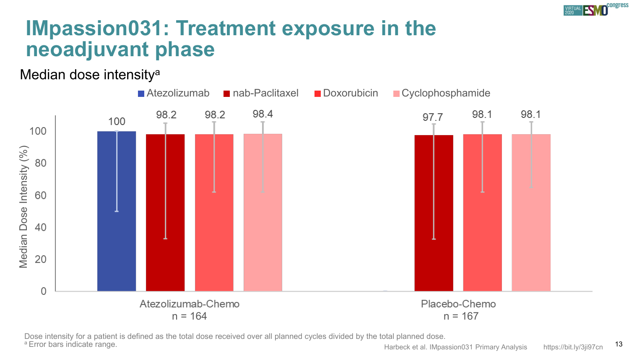

# **IMpassion031: Treatment exposure in the neoadjuvant phase**

#### Median dose intensitya



Dose intensity for a patient is defined as the total dose received over all planned cycles divided by the total planned dose.<br>Error bars indicate range.

Harbeck et al. IMpassion031 Primary Analysis https://bit.ly/3ji97cn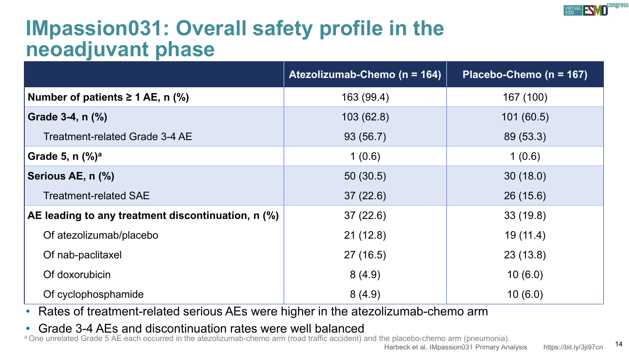

# **IMpassion031: Overall safety profile in the neoadjuvant phase**

|                                                    | Atezolizumab-Chemo (n = 164) | Placebo-Chemo ( $n = 167$ ) |
|----------------------------------------------------|------------------------------|-----------------------------|
| Number of patients $\geq 1$ AE, n (%)              | 163 (99.4)                   | 167 (100)                   |
| Grade 3-4, n (%)                                   | 103(62.8)                    | 101(60.5)                   |
| Treatment-related Grade 3-4 AE                     | 93(56.7)                     | 89 (53.3)                   |
| Grade 5, $n$ $\binom{0}{0}^a$                      | 1(0.6)                       | 1(0.6)                      |
| Serious AE, n (%)                                  | 50(30.5)                     | 30(18.0)                    |
| <b>Treatment-related SAE</b>                       | 37(22.6)                     | 26(15.6)                    |
| AE leading to any treatment discontinuation, n (%) | 37(22.6)                     | 33(19.8)                    |
| Of atezolizumab/placebo                            | 21(12.8)                     | 19(11.4)                    |
| Of nab-paclitaxel                                  | 27(16.5)                     | 23(13.8)                    |
| Of doxorubicin                                     | 8(4.9)                       | 10(6.0)                     |
| Of cyclophosphamide                                | 8(4.9)                       | 10(6.0)                     |

• Rates of treatment-related serious AEs were higher in the atezolizumab-chemo arm

• Grade 3-4 AEs and discontinuation rates were well balanced

a One unrelated Grade 5 AE each occurred in the atezolizumab-chemo arm (road traffic accident) and the placebo-chemo arm (pneumonia).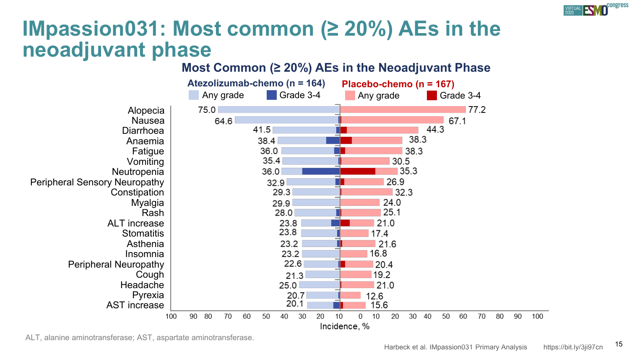

# **IMpassion031: Most common (≥ 20%) AEs in the neoadjuvant phase**

#### **Most Common (≥ 20%) AEs in the Neoadjuvant Phase**



ALT, alanine aminotransferase; AST, aspartate aminotransferase.<br>15<br>15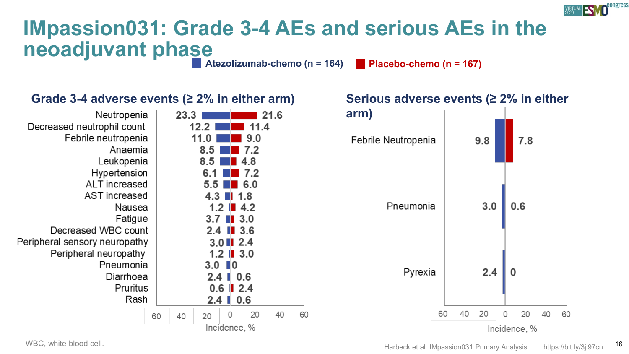

# **IMpassion031: Grade 3-4 AEs and serious AEs in the neoadjuvant phase**

**Atezolizumab-chemo (n = 164) Placebo-chemo (n = 167)**



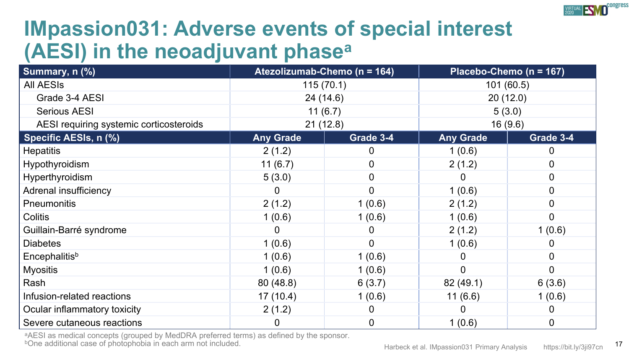

# **IMpassion031: Adverse events of special interest (AESI) in the neoadjuvant phasea**

| Summary, n (%)                          | Atezolizumab-Chemo (n = 164) |           | Placebo-Chemo (n = 167) |           |
|-----------------------------------------|------------------------------|-----------|-------------------------|-----------|
| <b>All AESIs</b>                        | 115(70.1)                    |           | 101(60.5)               |           |
| Grade 3-4 AESI                          | 24(14.6)                     |           | 20(12.0)                |           |
| <b>Serious AESI</b>                     | 11(6.7)                      |           | 5(3.0)                  |           |
| AESI requiring systemic corticosteroids | 21(12.8)                     |           | 16 (9.6)                |           |
| Specific AESIs, n (%)                   | <b>Any Grade</b>             | Grade 3-4 | <b>Any Grade</b>        | Grade 3-4 |
| <b>Hepatitis</b>                        | 2(1.2)                       | 0         | 1(0.6)                  |           |
| Hypothyroidism                          | 11(6.7)                      | 0         | 2(1.2)                  | 0         |
| Hyperthyroidism                         | 5(3.0)                       | 0         |                         | 0         |
| Adrenal insufficiency                   |                              | 0         | 1(0.6)                  | 0         |
| Pneumonitis                             | 2(1.2)                       | 1(0.6)    | 2(1.2)                  |           |
| Colitis                                 | 1(0.6)                       | 1(0.6)    | 1(0.6)                  | 0         |
| Guillain-Barré syndrome                 |                              |           | 2(1.2)                  | 1(0.6)    |
| <b>Diabetes</b>                         | 1(0.6)                       | $\Omega$  | 1(0.6)                  |           |
| <b>Encephalitis</b> <sup>b</sup>        | 1(0.6)                       | 1(0.6)    |                         | 0         |
| <b>Myositis</b>                         | 1(0.6)                       | 1(0.6)    | 0                       | 0         |
| Rash                                    | 80(48.8)                     | 6(3.7)    | 82 (49.1)               | 6(3.6)    |
| Infusion-related reactions              | 17(10.4)                     | 1(0.6)    | 11(6.6)                 | 1(0.6)    |
| Ocular inflammatory toxicity            | 2(1.2)                       |           |                         |           |
| Severe cutaneous reactions              | 0                            | 0         | 1(0.6)                  | 0         |

aAESI as medical concepts (grouped by MedDRA preferred terms) as defined by the sponsor.<br>
bOne additional case of photophobia in each arm not included. In the sponsor and the sponsor of all Massion not included.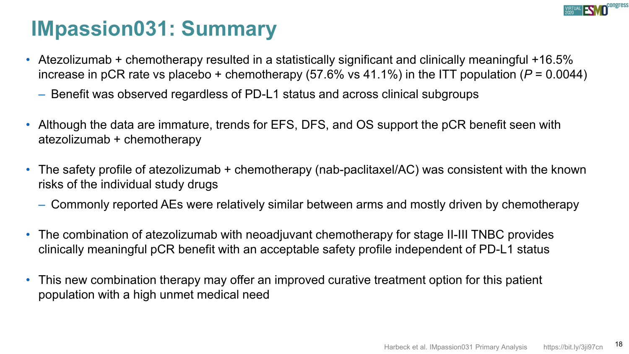

# **IMpassion031: Summary**

- Atezolizumab + chemotherapy resulted in a statistically significant and clinically meaningful +16.5% increase in pCR rate vs placebo + chemotherapy (57.6% vs 41.1%) in the ITT population (*P* = 0.0044)
	- Benefit was observed regardless of PD-L1 status and across clinical subgroups
- Although the data are immature, trends for EFS, DFS, and OS support the pCR benefit seen with atezolizumab + chemotherapy
- The safety profile of atezolizumab + chemotherapy (nab-paclitaxel/AC) was consistent with the known risks of the individual study drugs
	- Commonly reported AEs were relatively similar between arms and mostly driven by chemotherapy
- The combination of atezolizumab with neoadjuvant chemotherapy for stage II-III TNBC provides clinically meaningful pCR benefit with an acceptable safety profile independent of PD-L1 status
- This new combination therapy may offer an improved curative treatment option for this patient population with a high unmet medical need